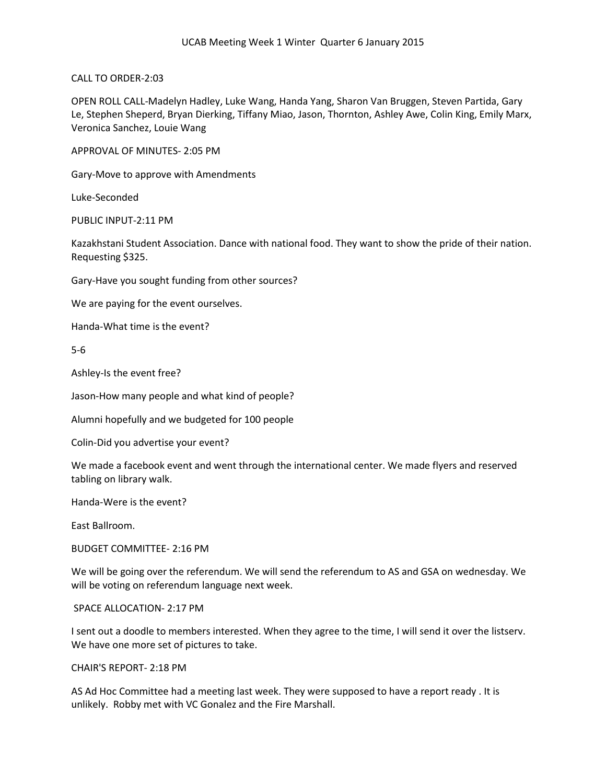CALL TO ORDER-2:03

OPEN ROLL CALL-Madelyn Hadley, Luke Wang, Handa Yang, Sharon Van Bruggen, Steven Partida, Gary Le, Stephen Sheperd, Bryan Dierking, Tiffany Miao, Jason, Thornton, Ashley Awe, Colin King, Emily Marx, Veronica Sanchez, Louie Wang

APPROVAL OF MINUTES- 2:05 PM

Gary-Move to approve with Amendments

Luke-Seconded

PUBLIC INPUT-2:11 PM

Kazakhstani Student Association. Dance with national food. They want to show the pride of their nation. Requesting \$325.

Gary-Have you sought funding from other sources?

We are paying for the event ourselves.

Handa-What time is the event?

5-6

Ashley-Is the event free?

Jason-How many people and what kind of people?

Alumni hopefully and we budgeted for 100 people

Colin-Did you advertise your event?

We made a facebook event and went through the international center. We made flyers and reserved tabling on library walk.

Handa-Were is the event?

East Ballroom.

BUDGET COMMITTEE- 2:16 PM

We will be going over the referendum. We will send the referendum to AS and GSA on wednesday. We will be voting on referendum language next week.

SPACE ALLOCATION- 2:17 PM

I sent out a doodle to members interested. When they agree to the time, I will send it over the listserv. We have one more set of pictures to take.

CHAIR'S REPORT- 2:18 PM

AS Ad Hoc Committee had a meeting last week. They were supposed to have a report ready . It is unlikely. Robby met with VC Gonalez and the Fire Marshall.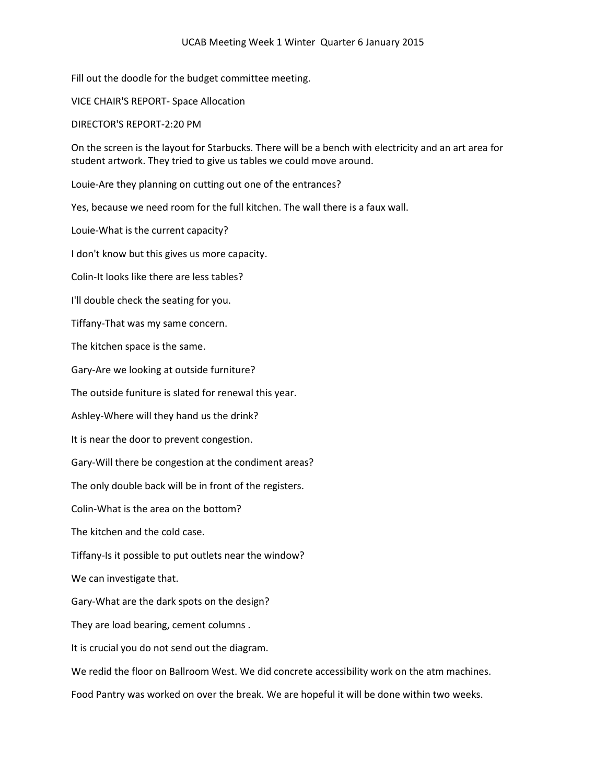Fill out the doodle for the budget committee meeting.

VICE CHAIR'S REPORT- Space Allocation

DIRECTOR'S REPORT-2:20 PM

On the screen is the layout for Starbucks. There will be a bench with electricity and an art area for student artwork. They tried to give us tables we could move around.

Louie-Are they planning on cutting out one of the entrances?

Yes, because we need room for the full kitchen. The wall there is a faux wall.

Louie-What is the current capacity?

I don't know but this gives us more capacity.

Colin-It looks like there are less tables?

I'll double check the seating for you.

Tiffany-That was my same concern.

The kitchen space is the same.

Gary-Are we looking at outside furniture?

The outside funiture is slated for renewal this year.

Ashley-Where will they hand us the drink?

It is near the door to prevent congestion.

Gary-Will there be congestion at the condiment areas?

The only double back will be in front of the registers.

Colin-What is the area on the bottom?

The kitchen and the cold case.

Tiffany-Is it possible to put outlets near the window?

We can investigate that.

Gary-What are the dark spots on the design?

They are load bearing, cement columns .

It is crucial you do not send out the diagram.

We redid the floor on Ballroom West. We did concrete accessibility work on the atm machines.

Food Pantry was worked on over the break. We are hopeful it will be done within two weeks.